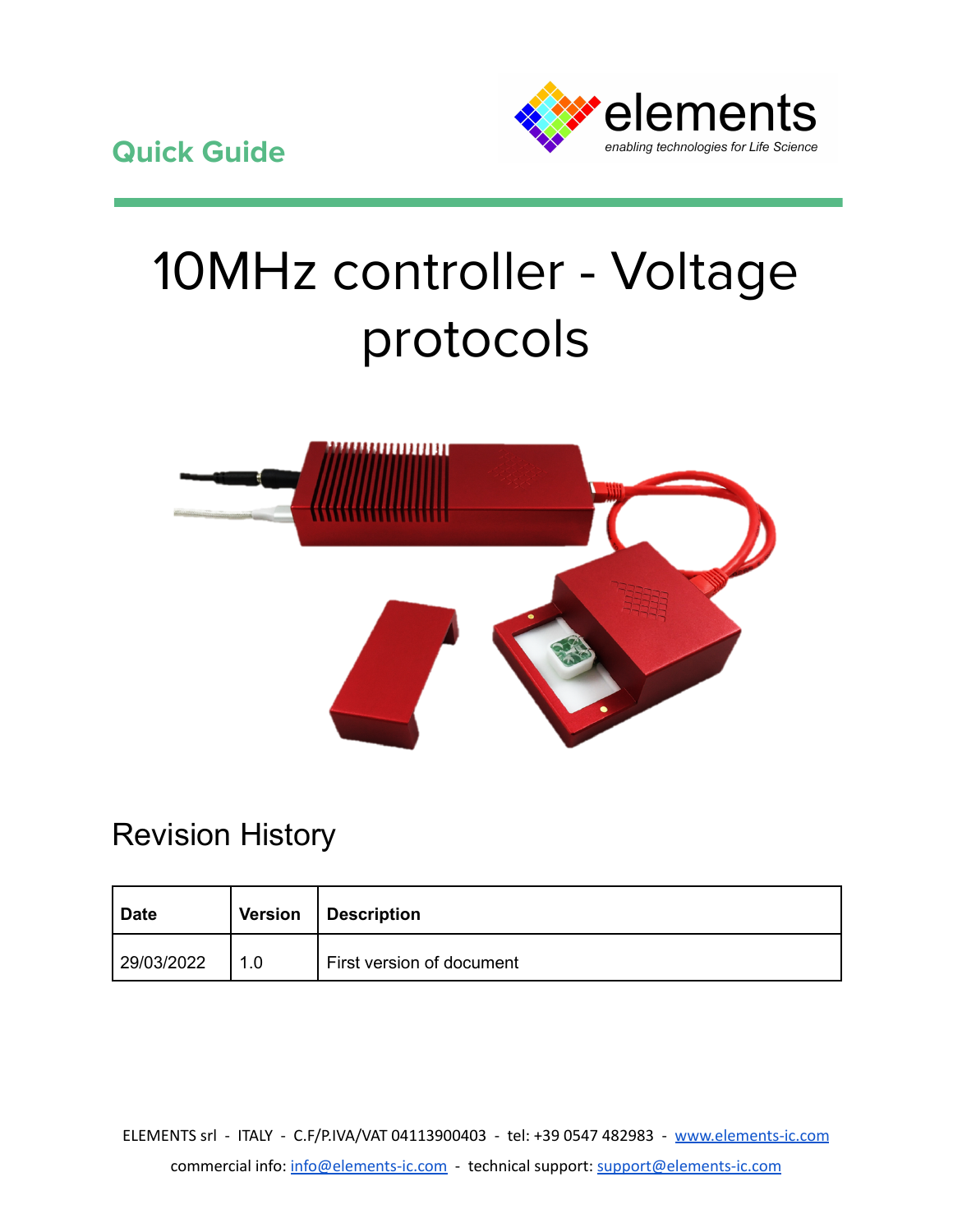

# 10MHz controller - Voltage protocols



## Revision History

| <b>Date</b> | <b>Version</b> | Description               |
|-------------|----------------|---------------------------|
| 29/03/2022  | 1.0            | First version of document |

ELEMENTS srl - ITALY - C.F/P.IVA/VAT 04113900403 - tel: +39 0547 482983 - [www.elements-ic.com](http://www.elements-ic.com) commercial info: [info@elements-ic.com](mailto:info@elements-ic.com) - technical support: [support@elements-ic.com](mailto:support@elements-ic.com)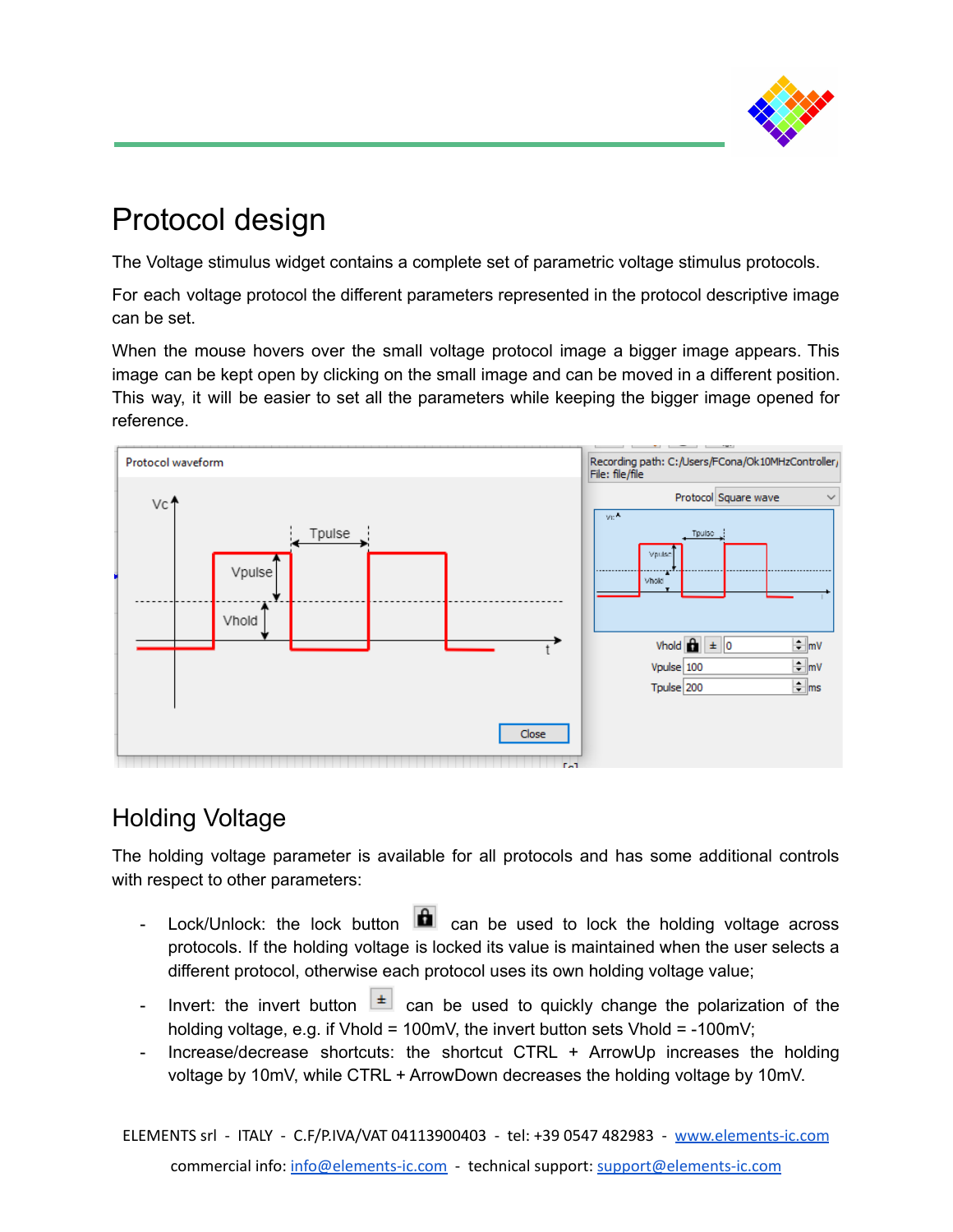

## Protocol design

The Voltage stimulus widget contains a complete set of parametric voltage stimulus protocols.

For each voltage protocol the different parameters represented in the protocol descriptive image can be set.

When the mouse hovers over the small voltage protocol image a bigger image appears. This image can be kept open by clicking on the small image and can be moved in a different position. This way, it will be easier to set all the parameters while keeping the bigger image opened for reference.



#### Holding Voltage

The holding voltage parameter is available for all protocols and has some additional controls with respect to other parameters:

- Lock/Unlock: the lock button **can** can be used to lock the holding voltage across protocols. If the holding voltage is locked its value is maintained when the user selects a different protocol, otherwise each protocol uses its own holding voltage value;
- Invert: the invert button  $\boxed{\pm}$  can be used to quickly change the polarization of the holding voltage, e.g. if Vhold = 100mV, the invert button sets Vhold =  $-100$ mV;
- Increase/decrease shortcuts: the shortcut CTRL + ArrowUp increases the holding voltage by 10mV, while CTRL + ArrowDown decreases the holding voltage by 10mV.

ELEMENTS srl - ITALY - C.F/P.IVA/VAT 04113900403 - tel: +39 0547 482983 - [www.elements-ic.com](http://www.elements-ic.com) commercial info: [info@elements-ic.com](mailto:info@elements-ic.com) - technical support: [support@elements-ic.com](mailto:support@elements-ic.com)